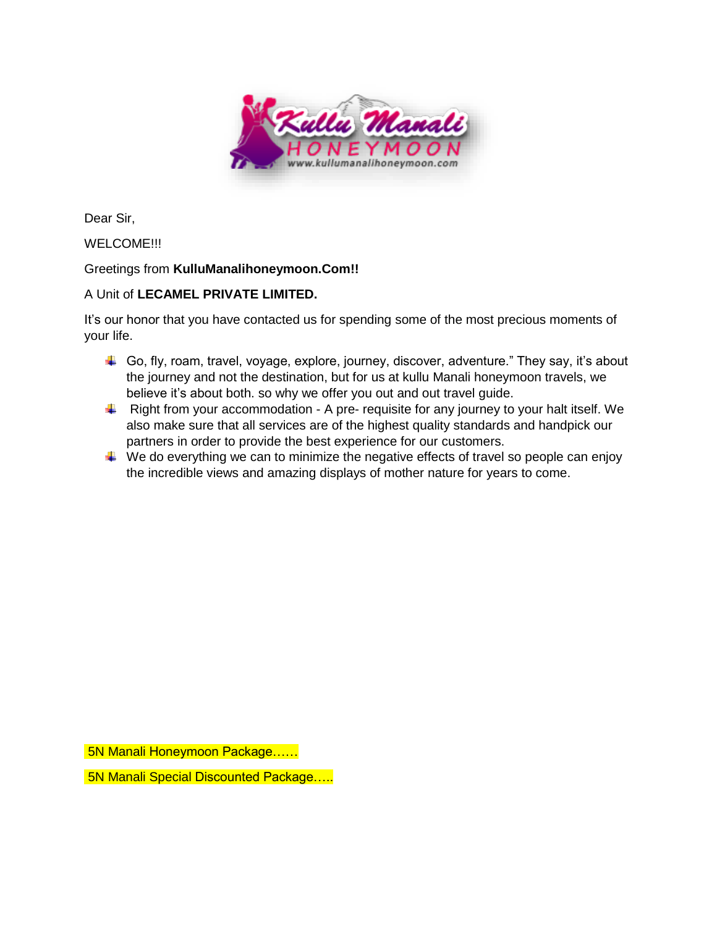

Dear Sir,

## WELCOME!!!

## Greetings from **KulluManalihoneymoon.Com!!**

## A Unit of **LECAMEL PRIVATE LIMITED.**

It's our honor that you have contacted us for spending some of the most precious moments of your life.

- Go, fly, roam, travel, voyage, explore, journey, discover, adventure." They say, it's about the journey and not the destination, but for us at kullu Manali honeymoon travels, we believe it's about both. so why we offer you out and out travel guide.
- $\downarrow$  Right from your accommodation A pre- requisite for any journey to your halt itself. We also make sure that all services are of the highest quality standards and handpick our partners in order to provide the best experience for our customers.
- $\ddot{\bullet}$  We do everything we can to minimize the negative effects of travel so people can enjoy the incredible views and amazing displays of mother nature for years to come.

5N Manali Honeymoon Package……

5N Manali Special Discounted Package…..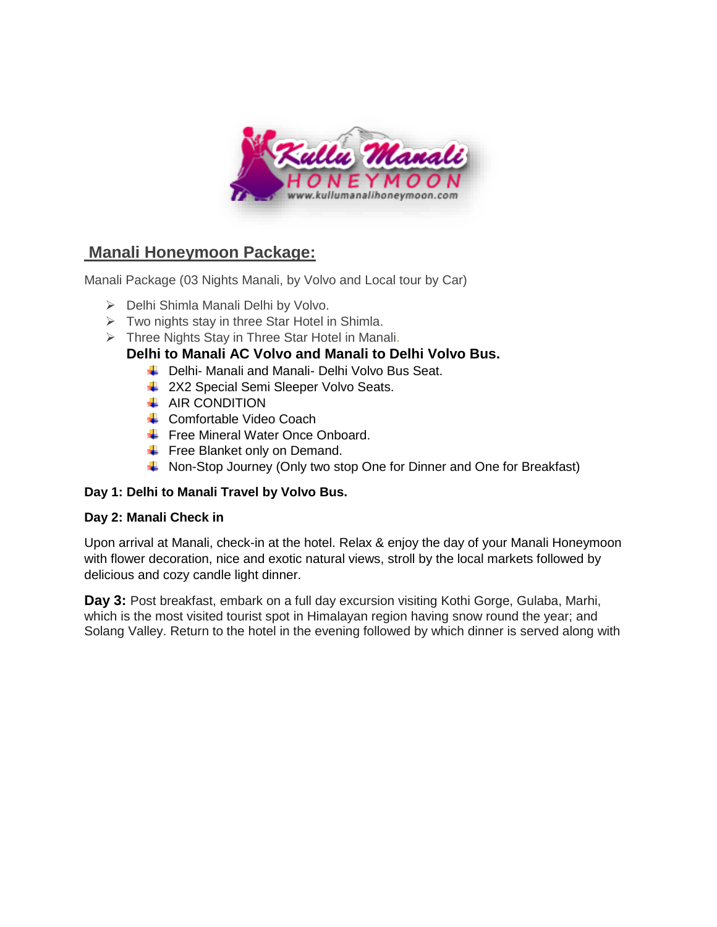

# **Manali Honeymoon Package:**

Manali Package (03 Nights Manali, by Volvo and Local tour by Car)

- ➢ Delhi Shimla Manali Delhi by Volvo.
- ➢ Two nights stay in three Star Hotel in Shimla.
- $\triangleright$  Three Nights Stay in Three Star Hotel in Manali.

# **Delhi to Manali AC Volvo and Manali to Delhi Volvo Bus.**

- Delhi- Manali and Manali- Delhi Volvo Bus Seat.
- 4 2X2 Special Semi Sleeper Volvo Seats.
- $\overline{\phantom{a}}$  AIR CONDITION
- **← Comfortable Video Coach**
- Free Mineral Water Once Onboard.
- $\leftarrow$  Free Blanket only on Demand.
- K Non-Stop Journey (Only two stop One for Dinner and One for Breakfast)

## **Day 1: Delhi to Manali Travel by Volvo Bus.**

## **Day 2: Manali Check in**

Upon arrival at Manali, check-in at the hotel. Relax & enjoy the day of your Manali Honeymoon with flower decoration, nice and exotic natural views, stroll by the local markets followed by delicious and cozy candle light dinner.

**Day 3:** Post breakfast, embark on a full day excursion visiting Kothi Gorge, Gulaba, Marhi, which is the most visited tourist spot in Himalayan region having snow round the year; and Solang Valley. Return to the hotel in the evening followed by which dinner is served along with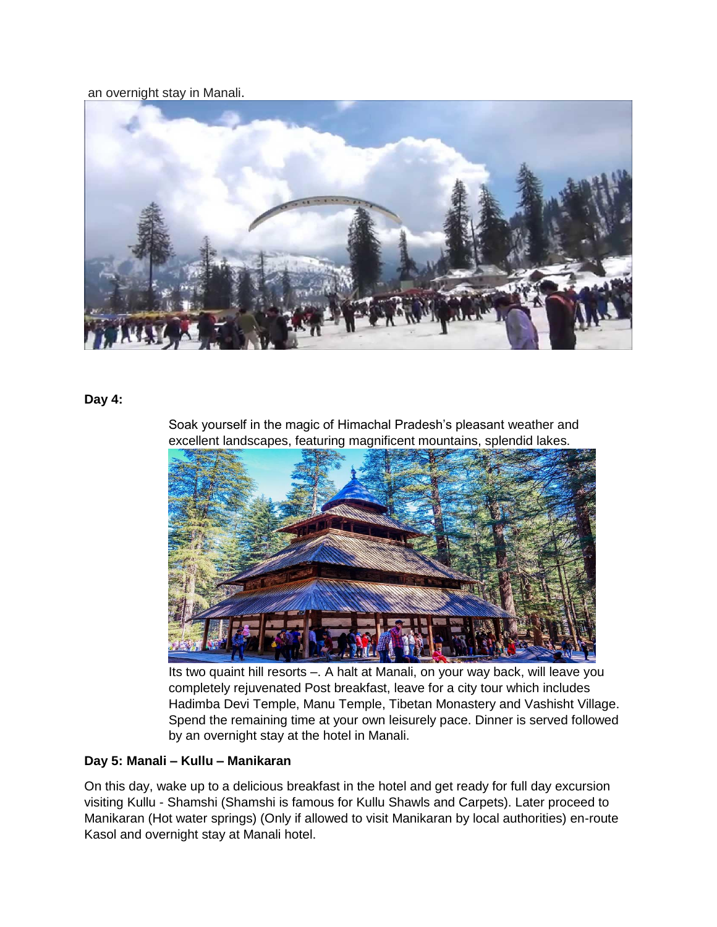an overnight stay in Manali.



#### **Day 4:**

Soak yourself in the magic of Himachal Pradesh's pleasant weather and excellent landscapes, featuring magnificent mountains, splendid lakes.



Its two quaint hill resorts –. A halt at Manali, on your way back, will leave you completely rejuvenated Post breakfast, leave for a city tour which includes Hadimba Devi Temple, Manu Temple, Tibetan Monastery and Vashisht Village. Spend the remaining time at your own leisurely pace. Dinner is served followed by an overnight stay at the hotel in Manali.

#### **Day 5: Manali – Kullu – Manikaran**

On this day, wake up to a delicious breakfast in the hotel and get ready for full day excursion visiting Kullu - Shamshi (Shamshi is famous for Kullu Shawls and Carpets). Later proceed to Manikaran (Hot water springs) (Only if allowed to visit Manikaran by local authorities) en-route Kasol and overnight stay at Manali hotel.